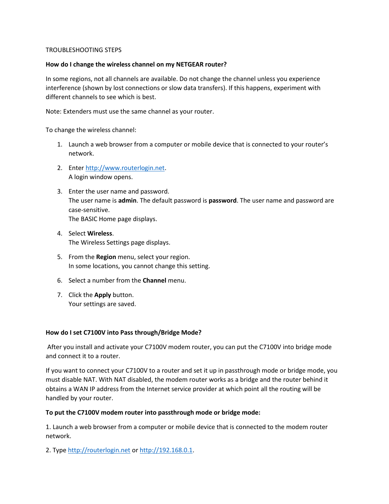# TROUBLESHOOTING STEPS

# **How do I change the wireless channel on my NETGEAR router?**

In some regions, not all channels are available. Do not change the channel unless you experience interference (shown by lost connections or slow data transfers). If this happens, experiment with different channels to see which is best.

Note: Extenders must use the same channel as your router.

To change the wireless channel:

- 1. Launch a web browser from a computer or mobile device that is connected to your router's network.
- 2. Ente[r http://www.routerlogin.net.](http://www.routerlogin.net/) A login window opens.
- 3. Enter the user name and password. The user name is **admin**. The default password is **password**. The user name and password are case-sensitive. The BASIC Home page displays.
- 4. Select **Wireless**. The Wireless Settings page displays.
- 5. From the **Region** menu, select your region. In some locations, you cannot change this setting.
- 6. Select a number from the **Channel** menu.
- 7. Click the **Apply** button. Your settings are saved.

# **How do I set C7100V into Pass through/Bridge Mode?**

After you install and activate your C7100V modem router, you can put the C7100V into bridge mode and connect it to a router.

If you want to connect your C7100V to a router and set it up in passthrough mode or bridge mode, you must disable NAT. With NAT disabled, the modem router works as a bridge and the router behind it obtains a WAN IP address from the Internet service provider at which point all the routing will be handled by your router.

#### **To put the C7100V modem router into passthrough mode or bridge mode:**

1. Launch a web browser from a computer or mobile device that is connected to the modem router network.

2. Type [http://routerlogin.net](http://routerlogin.net/) or [http://192.168.0.1.](http://192.168.0.1/)